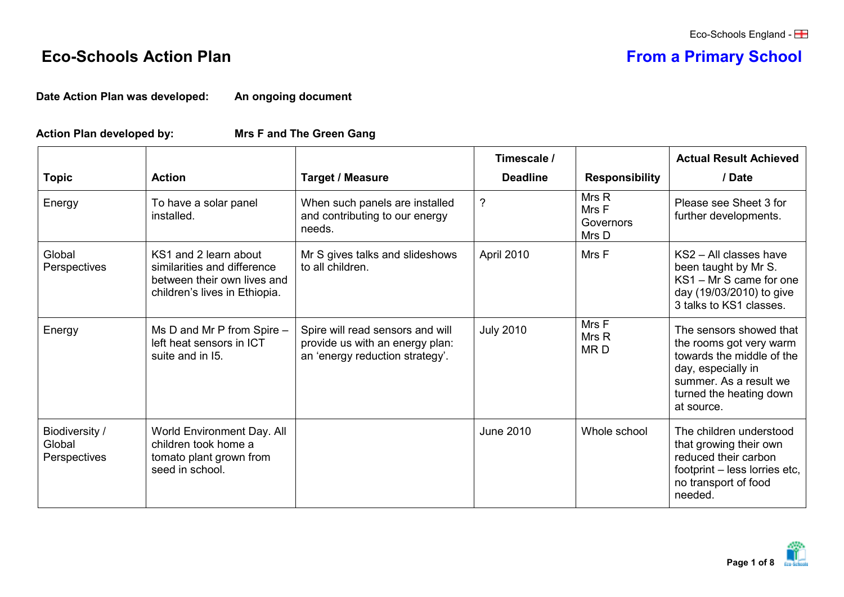## **Eco-Schools Action Plan From a Primary School**

**Date Action Plan was developed: An ongoing document**

## **Action Plan developed by: Mrs F and The Green Gang**

|                                          |                                                                                                                      |                                                                                                        | Timescale /      |                                      | <b>Actual Result Achieved</b>                                                                                                                                            |
|------------------------------------------|----------------------------------------------------------------------------------------------------------------------|--------------------------------------------------------------------------------------------------------|------------------|--------------------------------------|--------------------------------------------------------------------------------------------------------------------------------------------------------------------------|
| <b>Topic</b>                             | <b>Action</b>                                                                                                        | <b>Target / Measure</b>                                                                                | <b>Deadline</b>  | <b>Responsibility</b>                | / Date                                                                                                                                                                   |
| Energy                                   | To have a solar panel<br>installed.                                                                                  | When such panels are installed<br>and contributing to our energy<br>needs.                             | $\tilde{?}$      | Mrs R<br>Mrs F<br>Governors<br>Mrs D | Please see Sheet 3 for<br>further developments.                                                                                                                          |
| Global<br>Perspectives                   | KS1 and 2 learn about<br>similarities and difference<br>between their own lives and<br>children's lives in Ethiopia. | Mr S gives talks and slideshows<br>to all children.                                                    | April 2010       | Mrs F                                | $KS2 - All classes have$<br>been taught by Mr S.<br>KS1 - Mr S came for one<br>day (19/03/2010) to give<br>3 talks to KS1 classes.                                       |
| Energy                                   | Ms D and Mr P from Spire -<br>left heat sensors in ICT<br>suite and in 15.                                           | Spire will read sensors and will<br>provide us with an energy plan:<br>an 'energy reduction strategy'. | <b>July 2010</b> | Mrs F<br>Mrs R<br>MR <sub>D</sub>    | The sensors showed that<br>the rooms got very warm<br>towards the middle of the<br>day, especially in<br>summer. As a result we<br>turned the heating down<br>at source. |
| Biodiversity /<br>Global<br>Perspectives | World Environment Day. All<br>children took home a<br>tomato plant grown from<br>seed in school.                     |                                                                                                        | June 2010        | Whole school                         | The children understood<br>that growing their own<br>reduced their carbon<br>footprint - less lorries etc,<br>no transport of food<br>needed.                            |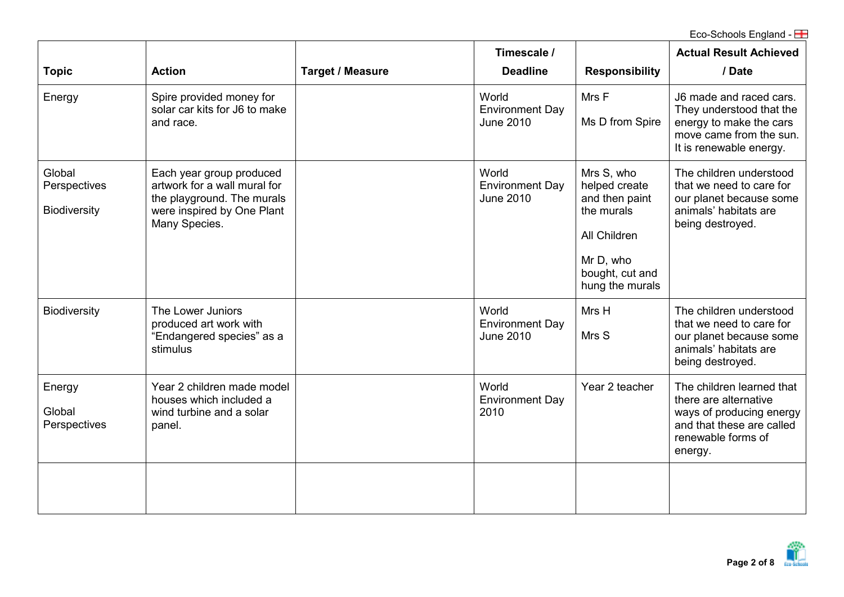|                                               |                                                                                                                                       |                         | Timescale /                                         |                                                                                                                                | <b>Actual Result Achieved</b>                                                                                                                |
|-----------------------------------------------|---------------------------------------------------------------------------------------------------------------------------------------|-------------------------|-----------------------------------------------------|--------------------------------------------------------------------------------------------------------------------------------|----------------------------------------------------------------------------------------------------------------------------------------------|
| <b>Topic</b>                                  | <b>Action</b>                                                                                                                         | <b>Target / Measure</b> | <b>Deadline</b>                                     | <b>Responsibility</b>                                                                                                          | / Date                                                                                                                                       |
| Energy                                        | Spire provided money for<br>solar car kits for J6 to make<br>and race.                                                                |                         | World<br><b>Environment Day</b><br><b>June 2010</b> | Mrs F<br>Ms D from Spire                                                                                                       | J6 made and raced cars.<br>They understood that the<br>energy to make the cars<br>move came from the sun.<br>It is renewable energy.         |
| Global<br>Perspectives<br><b>Biodiversity</b> | Each year group produced<br>artwork for a wall mural for<br>the playground. The murals<br>were inspired by One Plant<br>Many Species. |                         | World<br><b>Environment Day</b><br><b>June 2010</b> | Mrs S, who<br>helped create<br>and then paint<br>the murals<br>All Children<br>Mr D, who<br>bought, cut and<br>hung the murals | The children understood<br>that we need to care for<br>our planet because some<br>animals' habitats are<br>being destroyed.                  |
| <b>Biodiversity</b>                           | The Lower Juniors<br>produced art work with<br>"Endangered species" as a<br>stimulus                                                  |                         | World<br><b>Environment Day</b><br><b>June 2010</b> | Mrs H<br>Mrs S                                                                                                                 | The children understood<br>that we need to care for<br>our planet because some<br>animals' habitats are<br>being destroyed.                  |
| Energy<br>Global<br>Perspectives              | Year 2 children made model<br>houses which included a<br>wind turbine and a solar<br>panel.                                           |                         | World<br><b>Environment Day</b><br>2010             | Year 2 teacher                                                                                                                 | The children learned that<br>there are alternative<br>ways of producing energy<br>and that these are called<br>renewable forms of<br>energy. |
|                                               |                                                                                                                                       |                         |                                                     |                                                                                                                                |                                                                                                                                              |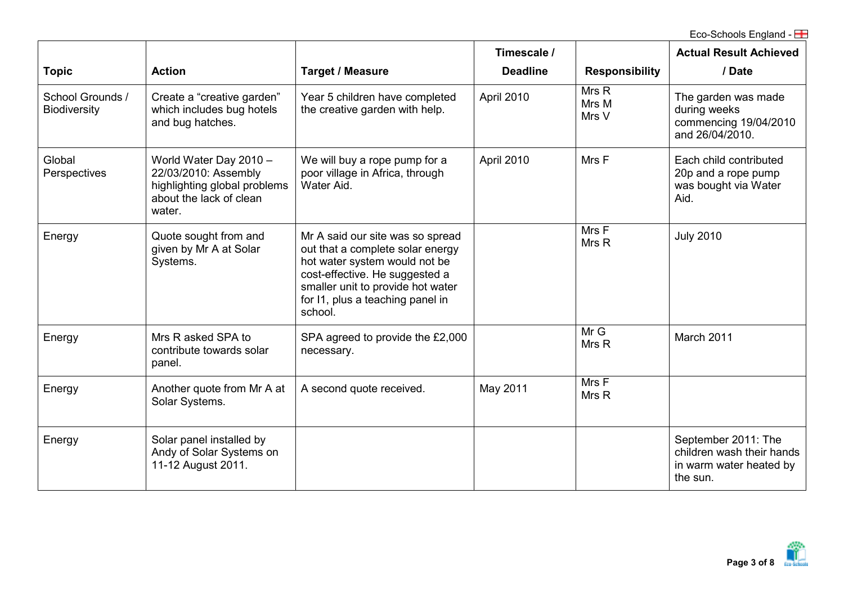|                                         |                                                                                                                     |                                                                                                                                                                                                                             | Timescale /     |                         | <b>Actual Result Achieved</b>                                                           |
|-----------------------------------------|---------------------------------------------------------------------------------------------------------------------|-----------------------------------------------------------------------------------------------------------------------------------------------------------------------------------------------------------------------------|-----------------|-------------------------|-----------------------------------------------------------------------------------------|
| <b>Topic</b>                            | <b>Action</b>                                                                                                       | <b>Target / Measure</b>                                                                                                                                                                                                     | <b>Deadline</b> | <b>Responsibility</b>   | / Date                                                                                  |
| School Grounds /<br><b>Biodiversity</b> | Create a "creative garden"<br>which includes bug hotels<br>and bug hatches.                                         | Year 5 children have completed<br>the creative garden with help.                                                                                                                                                            | April 2010      | Mrs R<br>Mrs M<br>Mrs V | The garden was made<br>during weeks<br>commencing 19/04/2010<br>and 26/04/2010.         |
| Global<br>Perspectives                  | World Water Day 2010 -<br>22/03/2010: Assembly<br>highlighting global problems<br>about the lack of clean<br>water. | We will buy a rope pump for a<br>poor village in Africa, through<br>Water Aid.                                                                                                                                              | April 2010      | Mrs F                   | Each child contributed<br>20p and a rope pump<br>was bought via Water<br>Aid.           |
| Energy                                  | Quote sought from and<br>given by Mr A at Solar<br>Systems.                                                         | Mr A said our site was so spread<br>out that a complete solar energy<br>hot water system would not be<br>cost-effective. He suggested a<br>smaller unit to provide hot water<br>for I1, plus a teaching panel in<br>school. |                 | Mrs F<br>Mrs R          | <b>July 2010</b>                                                                        |
| Energy                                  | Mrs R asked SPA to<br>contribute towards solar<br>panel.                                                            | SPA agreed to provide the £2,000<br>necessary.                                                                                                                                                                              |                 | MrG<br>Mrs R            | March 2011                                                                              |
| Energy                                  | Another quote from Mr A at<br>Solar Systems.                                                                        | A second quote received.                                                                                                                                                                                                    | May 2011        | Mrs F<br>Mrs R          |                                                                                         |
| Energy                                  | Solar panel installed by<br>Andy of Solar Systems on<br>11-12 August 2011.                                          |                                                                                                                                                                                                                             |                 |                         | September 2011: The<br>children wash their hands<br>in warm water heated by<br>the sun. |

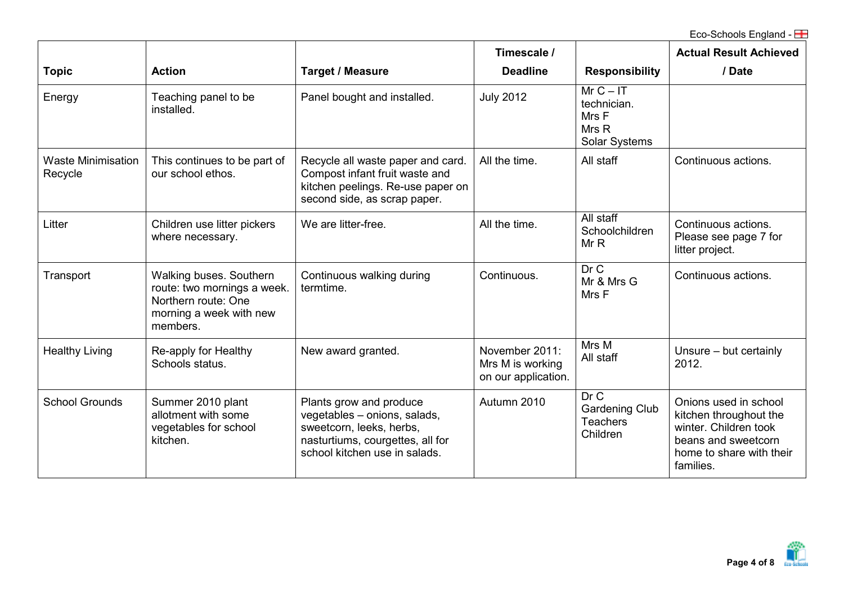|                                      |                                                                                                                      |                                                                                                                                                          | Timescale /                                               |                                                                     | <b>Actual Result Achieved</b>                                                                                                            |
|--------------------------------------|----------------------------------------------------------------------------------------------------------------------|----------------------------------------------------------------------------------------------------------------------------------------------------------|-----------------------------------------------------------|---------------------------------------------------------------------|------------------------------------------------------------------------------------------------------------------------------------------|
| <b>Topic</b>                         | <b>Action</b>                                                                                                        | <b>Target / Measure</b>                                                                                                                                  | <b>Deadline</b>                                           | <b>Responsibility</b>                                               | / Date                                                                                                                                   |
| Energy                               | Teaching panel to be<br>installed.                                                                                   | Panel bought and installed.                                                                                                                              | <b>July 2012</b>                                          | $MrC - IT$<br>technician.<br>Mrs F<br>Mrs R<br><b>Solar Systems</b> |                                                                                                                                          |
| <b>Waste Minimisation</b><br>Recycle | This continues to be part of<br>our school ethos.                                                                    | Recycle all waste paper and card.<br>Compost infant fruit waste and<br>kitchen peelings. Re-use paper on<br>second side, as scrap paper.                 | All the time.                                             | All staff                                                           | Continuous actions.                                                                                                                      |
| Litter                               | Children use litter pickers<br>where necessary.                                                                      | We are litter-free.                                                                                                                                      | All the time.                                             | All staff<br>Schoolchildren<br>MrR                                  | Continuous actions.<br>Please see page 7 for<br>litter project.                                                                          |
| Transport                            | Walking buses. Southern<br>route: two mornings a week.<br>Northern route: One<br>morning a week with new<br>members. | Continuous walking during<br>termtime.                                                                                                                   | Continuous.                                               | Dr C<br>Mr & Mrs G<br>Mrs F                                         | Continuous actions.                                                                                                                      |
| <b>Healthy Living</b>                | Re-apply for Healthy<br>Schools status.                                                                              | New award granted.                                                                                                                                       | November 2011:<br>Mrs M is working<br>on our application. | Mrs M<br>All staff                                                  | Unsure - but certainly<br>2012.                                                                                                          |
| <b>School Grounds</b>                | Summer 2010 plant<br>allotment with some<br>vegetables for school<br>kitchen.                                        | Plants grow and produce<br>vegetables - onions, salads,<br>sweetcorn, leeks, herbs,<br>nasturtiums, courgettes, all for<br>school kitchen use in salads. | Autumn 2010                                               | Dr C<br><b>Gardening Club</b><br><b>Teachers</b><br>Children        | Onions used in school<br>kitchen throughout the<br>winter. Children took<br>beans and sweetcorn<br>home to share with their<br>families. |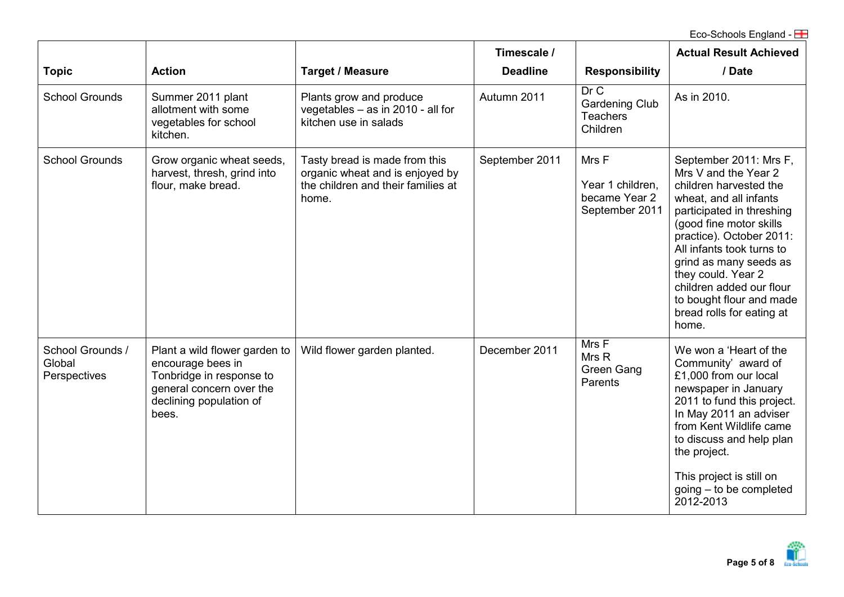|                                            |                                                                                                                                                |                                                                                                                 | Timescale /     |                                                              | <b>Actual Result Achieved</b>                                                                                                                                                                                                                                                                                                                                      |
|--------------------------------------------|------------------------------------------------------------------------------------------------------------------------------------------------|-----------------------------------------------------------------------------------------------------------------|-----------------|--------------------------------------------------------------|--------------------------------------------------------------------------------------------------------------------------------------------------------------------------------------------------------------------------------------------------------------------------------------------------------------------------------------------------------------------|
| <b>Topic</b>                               | <b>Action</b>                                                                                                                                  | <b>Target / Measure</b>                                                                                         | <b>Deadline</b> | <b>Responsibility</b>                                        | / Date                                                                                                                                                                                                                                                                                                                                                             |
| <b>School Grounds</b>                      | Summer 2011 plant<br>allotment with some<br>vegetables for school<br>kitchen.                                                                  | Plants grow and produce<br>vegetables $-$ as in 2010 - all for<br>kitchen use in salads                         | Autumn 2011     | Dr C<br><b>Gardening Club</b><br><b>Teachers</b><br>Children | As in 2010.                                                                                                                                                                                                                                                                                                                                                        |
| <b>School Grounds</b>                      | Grow organic wheat seeds,<br>harvest, thresh, grind into<br>flour, make bread.                                                                 | Tasty bread is made from this<br>organic wheat and is enjoyed by<br>the children and their families at<br>home. | September 2011  | Mrs F<br>Year 1 children,<br>became Year 2<br>September 2011 | September 2011: Mrs F,<br>Mrs V and the Year 2<br>children harvested the<br>wheat, and all infants<br>participated in threshing<br>(good fine motor skills)<br>practice). October 2011:<br>All infants took turns to<br>grind as many seeds as<br>they could. Year 2<br>children added our flour<br>to bought flour and made<br>bread rolls for eating at<br>home. |
| School Grounds /<br>Global<br>Perspectives | Plant a wild flower garden to<br>encourage bees in<br>Tonbridge in response to<br>general concern over the<br>declining population of<br>bees. | Wild flower garden planted.                                                                                     | December 2011   | Mrs F<br>Mrs R<br><b>Green Gang</b><br>Parents               | We won a 'Heart of the<br>Community' award of<br>£1,000 from our local<br>newspaper in January<br>2011 to fund this project.<br>In May 2011 an adviser<br>from Kent Wildlife came<br>to discuss and help plan<br>the project.<br>This project is still on<br>$going - to be completed$<br>2012-2013                                                                |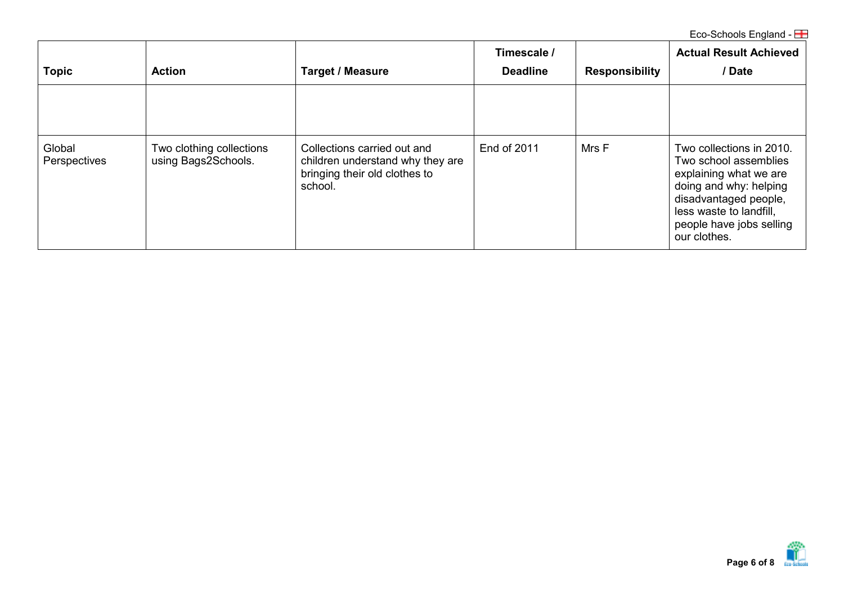| <b>Topic</b>           | <b>Action</b>                                   | <b>Target / Measure</b>                                                                                     | Timescale /<br><b>Deadline</b> | <b>Responsibility</b> | <b>Actual Result Achieved</b><br>/Date                                                                                                                                                                |
|------------------------|-------------------------------------------------|-------------------------------------------------------------------------------------------------------------|--------------------------------|-----------------------|-------------------------------------------------------------------------------------------------------------------------------------------------------------------------------------------------------|
|                        |                                                 |                                                                                                             |                                |                       |                                                                                                                                                                                                       |
| Global<br>Perspectives | Two clothing collections<br>using Bags2Schools. | Collections carried out and<br>children understand why they are<br>bringing their old clothes to<br>school. | End of 2011                    | Mrs F                 | Two collections in 2010.<br>Two school assemblies<br>explaining what we are<br>doing and why: helping<br>disadvantaged people,<br>less waste to landfill,<br>people have jobs selling<br>our clothes. |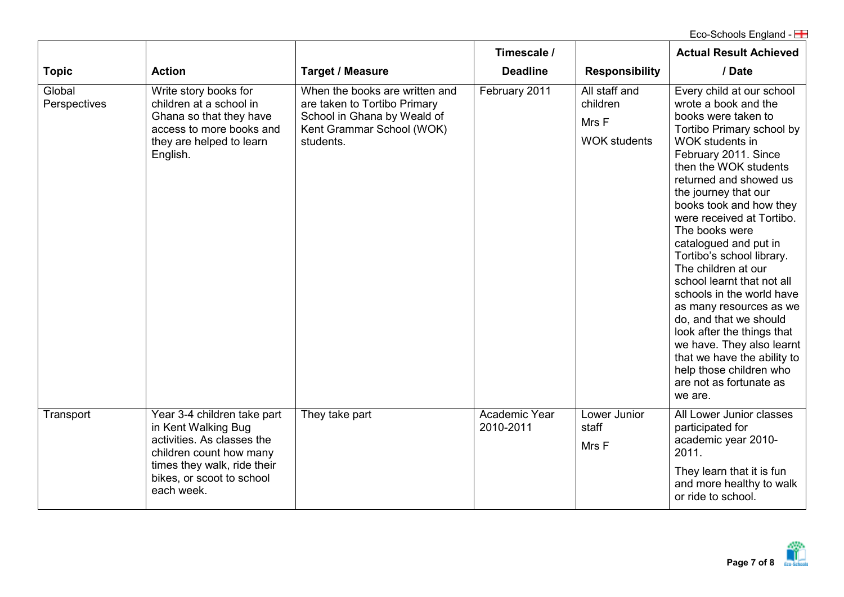|                        |                                                                                                                                                                                       |                                                                                                                                         | Timescale /                       |                                                           | <b>Actual Result Achieved</b>                                                                                                                                                                                                                                                                                                                                                                                                                                                                                                                                                                                                                                 |
|------------------------|---------------------------------------------------------------------------------------------------------------------------------------------------------------------------------------|-----------------------------------------------------------------------------------------------------------------------------------------|-----------------------------------|-----------------------------------------------------------|---------------------------------------------------------------------------------------------------------------------------------------------------------------------------------------------------------------------------------------------------------------------------------------------------------------------------------------------------------------------------------------------------------------------------------------------------------------------------------------------------------------------------------------------------------------------------------------------------------------------------------------------------------------|
| <b>Topic</b>           | <b>Action</b>                                                                                                                                                                         | <b>Target / Measure</b>                                                                                                                 | <b>Deadline</b>                   | <b>Responsibility</b>                                     | / Date                                                                                                                                                                                                                                                                                                                                                                                                                                                                                                                                                                                                                                                        |
| Global<br>Perspectives | Write story books for<br>children at a school in<br>Ghana so that they have<br>access to more books and<br>they are helped to learn<br>English.                                       | When the books are written and<br>are taken to Tortibo Primary<br>School in Ghana by Weald of<br>Kent Grammar School (WOK)<br>students. | February 2011                     | All staff and<br>children<br>Mrs F<br><b>WOK students</b> | Every child at our school<br>wrote a book and the<br>books were taken to<br>Tortibo Primary school by<br>WOK students in<br>February 2011. Since<br>then the WOK students<br>returned and showed us<br>the journey that our<br>books took and how they<br>were received at Tortibo.<br>The books were<br>catalogued and put in<br>Tortibo's school library.<br>The children at our<br>school learnt that not all<br>schools in the world have<br>as many resources as we<br>do, and that we should<br>look after the things that<br>we have. They also learnt<br>that we have the ability to<br>help those children who<br>are not as fortunate as<br>we are. |
| Transport              | Year 3-4 children take part<br>in Kent Walking Bug<br>activities. As classes the<br>children count how many<br>times they walk, ride their<br>bikes, or scoot to school<br>each week. | They take part                                                                                                                          | <b>Academic Year</b><br>2010-2011 | Lower Junior<br>staff<br>Mrs F                            | All Lower Junior classes<br>participated for<br>academic year 2010-<br>2011.<br>They learn that it is fun<br>and more healthy to walk<br>or ride to school.                                                                                                                                                                                                                                                                                                                                                                                                                                                                                                   |